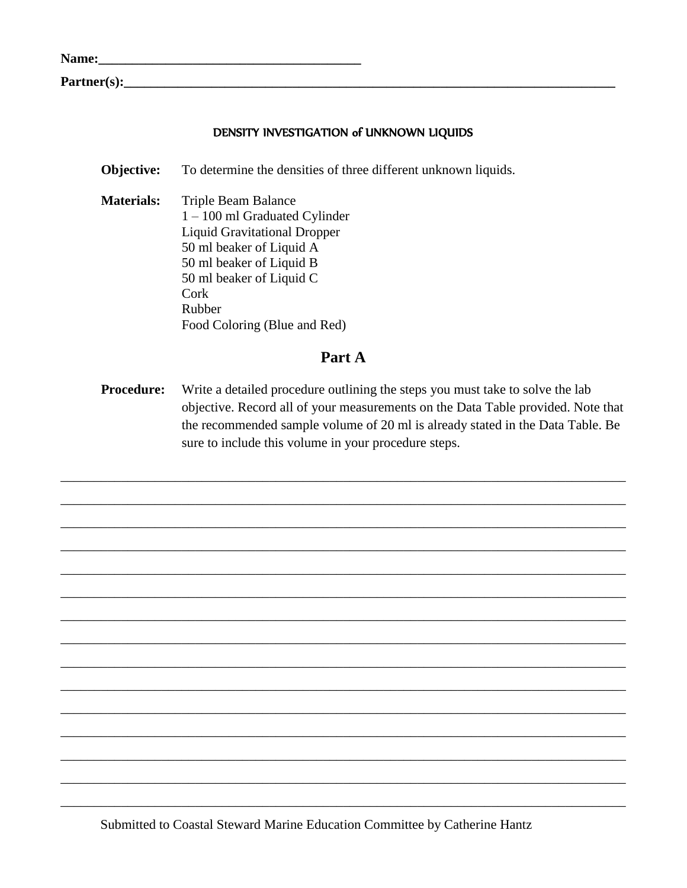| Name: |  |
|-------|--|
|       |  |

 $\mathbf{Partner}(\mathbf{s})$ :

### DENSITY INVESTIGATION of UNKNOWN LIQUIDS

To determine the densities of three different unknown liquids. Objective:

**Materials:** Triple Beam Balance  $1 - 100$  ml Graduated Cylinder **Liquid Gravitational Dropper** 50 ml beaker of Liquid A 50 ml beaker of Liquid B 50 ml beaker of Liquid C Cork Rubber Food Coloring (Blue and Red)

## Part A

**Procedure:** Write a detailed procedure outlining the steps you must take to solve the lab objective. Record all of your measurements on the Data Table provided. Note that the recommended sample volume of 20 ml is already stated in the Data Table. Be sure to include this volume in your procedure steps.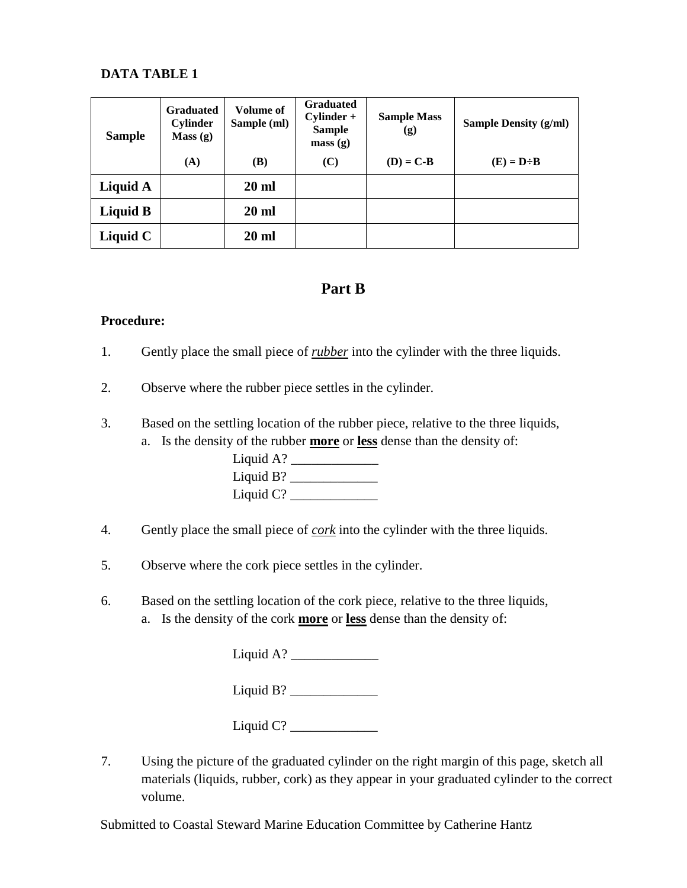## **DATA TABLE 1**

| <b>Sample</b> | <b>Graduated</b><br><b>Cylinder</b><br>Mass(g) | <b>Volume of</b><br>Sample (ml) | <b>Graduated</b><br>$Cylinder +$<br><b>Sample</b><br>mass(g) | <b>Sample Mass</b><br>(g) | <b>Sample Density (g/ml)</b> |
|---------------|------------------------------------------------|---------------------------------|--------------------------------------------------------------|---------------------------|------------------------------|
|               | (A)                                            | <b>(B)</b>                      | (C)                                                          | $(D) = C-B$               | $(E) = D \div B$             |
| Liquid A      |                                                | <b>20 ml</b>                    |                                                              |                           |                              |
| Liquid B      |                                                | $20 \text{ ml}$                 |                                                              |                           |                              |
| Liquid C      |                                                | $20 \text{ ml}$                 |                                                              |                           |                              |

# **Part B**

#### **Procedure:**

- 1. Gently place the small piece of *rubber* into the cylinder with the three liquids.
- 2. Observe where the rubber piece settles in the cylinder.
- 3. Based on the settling location of the rubber piece, relative to the three liquids, a. Is the density of the rubber **more** or **less** dense than the density of:

Liquid A? \_\_\_\_\_\_\_\_\_\_\_\_\_ Liquid B? \_\_\_\_\_\_\_\_\_\_\_\_\_ Liquid  $C$ ?

- 4. Gently place the small piece of *cork* into the cylinder with the three liquids.
- 5. Observe where the cork piece settles in the cylinder.
- 6. Based on the settling location of the cork piece, relative to the three liquids, a. Is the density of the cork **more** or **less** dense than the density of:

Liquid A?  $\qquad \qquad$ 

Liquid B?  $\qquad \qquad$ 

Liquid C? \_\_\_\_\_\_\_\_\_\_\_\_\_

7. Using the picture of the graduated cylinder on the right margin of this page, sketch all materials (liquids, rubber, cork) as they appear in your graduated cylinder to the correct volume.

Submitted to Coastal Steward Marine Education Committee by Catherine Hantz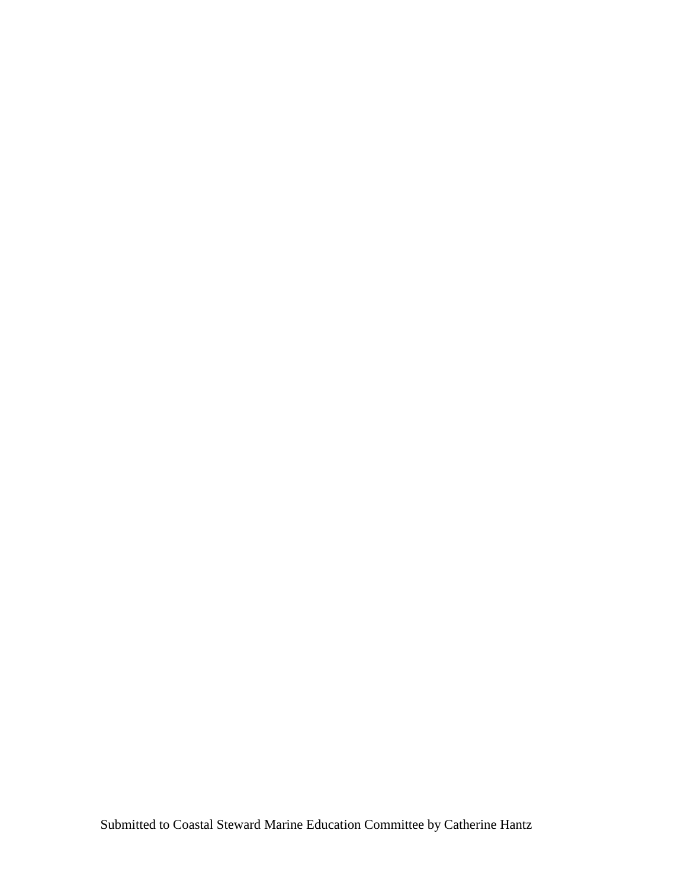Submitted to Coastal Steward Marine Education Committee by Catherine Hantz